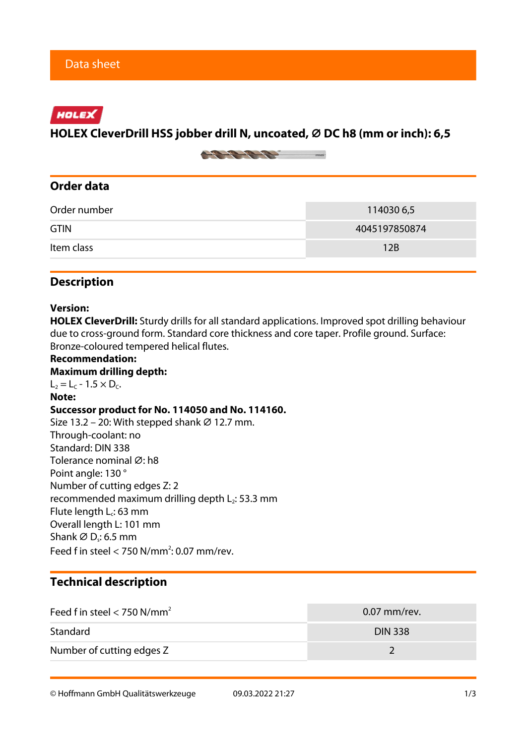# HOLEX

## **HOLEX CleverDrill HSS jobber drill N, uncoated, ⌀ DC h8 (mm or inch): 6,5**



# **Order data**

| Order number | 114030 6,5    |  |
|--------------|---------------|--|
| <b>GTIN</b>  | 4045197850874 |  |
| Item class   | 12B           |  |

## **Description**

#### **Version:**

**HOLEX CleverDrill:** Sturdy drills for all standard applications. Improved spot drilling behaviour due to cross-ground form. Standard core thickness and core taper. Profile ground. Surface: Bronze-coloured tempered helical flutes.

**Recommendation: Maximum drilling depth:**  $L_2 = L_c - 1.5 \times D_c$ . **Note: Successor product for No. 114050 and No. 114160.** Size 13.2 – 20: With stepped shank  $\varnothing$  12.7 mm. Through-coolant: no Standard: DIN 338 Tolerance nominal Ø: h8 Point angle: 130 ° Number of cutting edges Z: 2 recommended maximum drilling depth  $L_2$ : 53.3 mm Flute length  $L_c$ : 63 mm Overall length L: 101 mm Shank  $\varnothing$  D $_{\mathsf{s}}$ : 6.5 mm Feed f in steel  $<$  750 N/mm<sup>2</sup>: 0.07 mm/rev.

## **Technical description**

| Feed f in steel $<$ 750 N/mm <sup>2</sup> | $0.07$ mm/rev. |
|-------------------------------------------|----------------|
| Standard                                  | <b>DIN 338</b> |
| Number of cutting edges Z                 |                |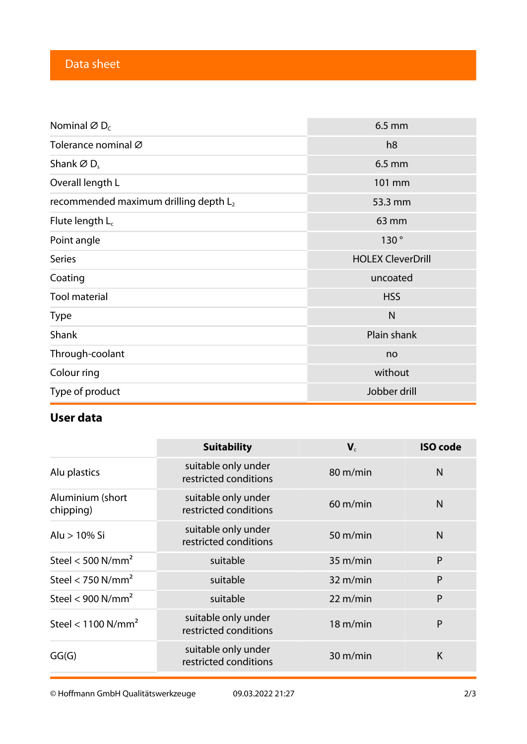# Data sheet

| Nominal $\varnothing$ D <sub>c</sub>              | $6.5$ mm                 |  |
|---------------------------------------------------|--------------------------|--|
| Tolerance nominal Ø                               | h <sub>8</sub>           |  |
| Shank $\varnothing$ D <sub>s</sub>                | $6.5$ mm                 |  |
| Overall length L                                  | 101 mm                   |  |
| recommended maximum drilling depth L <sub>2</sub> | 53.3 mm                  |  |
| Flute length $L_c$                                | 63 mm                    |  |
| Point angle                                       | 130°                     |  |
| <b>Series</b>                                     | <b>HOLEX CleverDrill</b> |  |
| Coating                                           | uncoated                 |  |
| <b>Tool material</b>                              | <b>HSS</b>               |  |
| <b>Type</b>                                       | $\mathsf{N}$             |  |
| Shank                                             | Plain shank              |  |
| Through-coolant                                   | no                       |  |
| Colour ring                                       | without                  |  |
| Type of product                                   | Jobber drill             |  |

# **User data**

|                                  | <b>Suitability</b>                           | $V_c$              | <b>ISO code</b> |
|----------------------------------|----------------------------------------------|--------------------|-----------------|
| Alu plastics                     | suitable only under<br>restricted conditions | 80 m/min           | $\mathsf{N}$    |
| Aluminium (short<br>chipping)    | suitable only under<br>restricted conditions | $60 \text{ m/min}$ | $\mathsf{N}$    |
| Alu > 10% Si                     | suitable only under<br>restricted conditions | $50 \text{ m/min}$ | $\mathsf{N}$    |
| Steel < $500$ N/mm <sup>2</sup>  | suitable                                     | $35 \text{ m/min}$ | P               |
| Steel < 750 $N/mm2$              | suitable                                     | $32 \text{ m/min}$ | P               |
| Steel < $900$ N/mm <sup>2</sup>  | suitable                                     | $22 \text{ m/min}$ | P               |
| Steel < $1100$ N/mm <sup>2</sup> | suitable only under<br>restricted conditions | 18 m/min           | P               |
| GG(G)                            | suitable only under<br>restricted conditions | 30 m/min           | K               |

© Hoffmann GmbH Qualitätswerkzeuge 09.03.2022 21:27 2/3